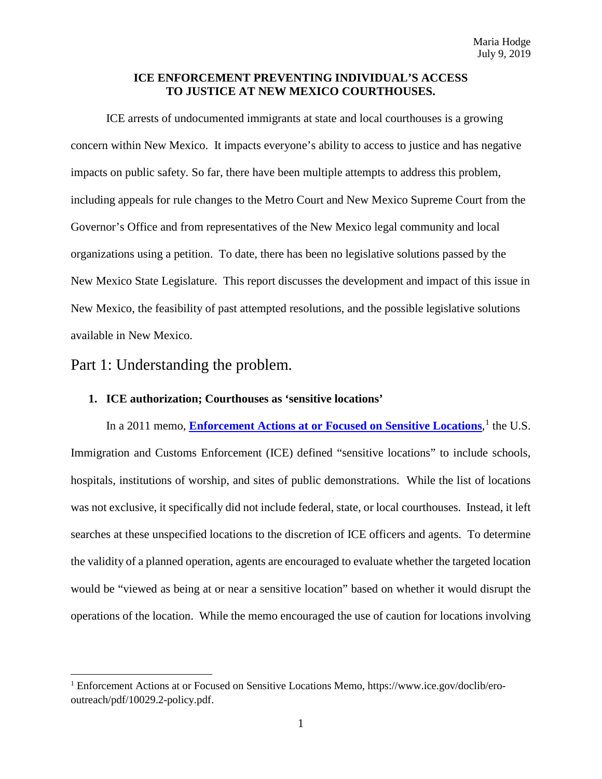## **ICE ENFORCEMENT PREVENTING INDIVIDUAL'S ACCESS TO JUSTICE AT NEW MEXICO COURTHOUSES.**

ICE arrests of undocumented immigrants at state and local courthouses is a growing concern within New Mexico. It impacts everyone's ability to access to justice and has negative impacts on public safety. So far, there have been multiple attempts to address this problem, including appeals for rule changes to the Metro Court and New Mexico Supreme Court from the Governor's Office and from representatives of the New Mexico legal community and local organizations using a petition. To date, there has been no legislative solutions passed by the New Mexico State Legislature. This report discusses the development and impact of this issue in New Mexico, the feasibility of past attempted resolutions, and the possible legislative solutions available in New Mexico.

Part 1: Understanding the problem.

l

## **1. ICE authorization; Courthouses as 'sensitive locations'**

In a 20[1](#page-0-0)1 memo, **[Enforcement Actions at or Focused on Sensitive Locations](https://www.ice.gov/doclib/ero-outreach/pdf/10029.2-policy.pdf)**,<sup>1</sup> the U.S. Immigration and Customs Enforcement (ICE) defined "sensitive locations" to include schools, hospitals, institutions of worship, and sites of public demonstrations. While the list of locations was not exclusive, it specifically did not include federal, state, or local courthouses. Instead, it left searches at these unspecified locations to the discretion of ICE officers and agents. To determine the validity of a planned operation, agents are encouraged to evaluate whether the targeted location would be "viewed as being at or near a sensitive location" based on whether it would disrupt the operations of the location. While the memo encouraged the use of caution for locations involving

<span id="page-0-0"></span><sup>1</sup> Enforcement Actions at or Focused on Sensitive Locations Memo, https://www.ice.gov/doclib/erooutreach/pdf/10029.2-policy.pdf.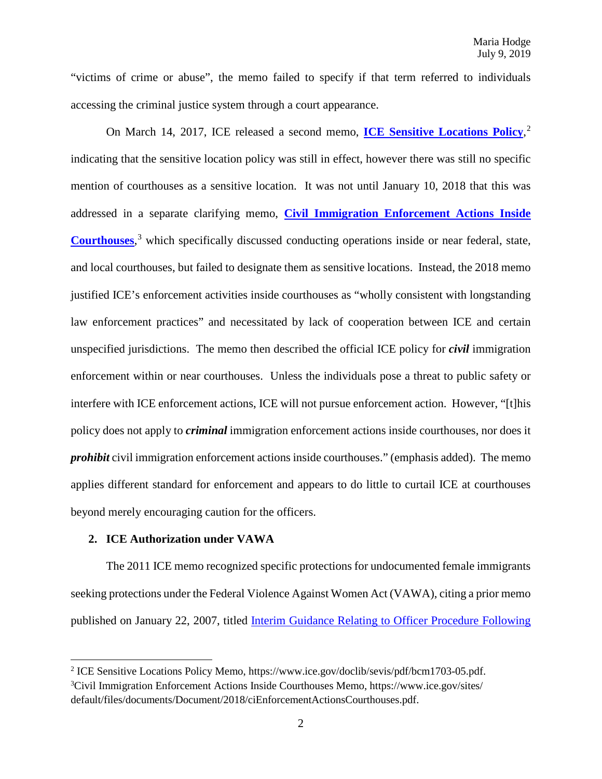"victims of crime or abuse", the memo failed to specify if that term referred to individuals accessing the criminal justice system through a court appearance.

On March 14, 2017, ICE released a second memo, **[ICE Sensitive Locations Policy](https://www.ice.gov/doclib/sevis/pdf/bcm1703-05.pdf)**, [2](#page-1-0) indicating that the sensitive location policy was still in effect, however there was still no specific mention of courthouses as a sensitive location. It was not until January 10, 2018 that this was addressed in a separate clarifying memo, **[Civil Immigration Enforcement Actions Inside](https://www.ice.gov/sites/default/files/documents/Document/2018/ciEnforcementActionsCourthouses.pdf)  [Courthouses](https://www.ice.gov/sites/default/files/documents/Document/2018/ciEnforcementActionsCourthouses.pdf)**, [3](#page-1-1) which specifically discussed conducting operations inside or near federal, state, and local courthouses, but failed to designate them as sensitive locations. Instead, the 2018 memo justified ICE's enforcement activities inside courthouses as "wholly consistent with longstanding law enforcement practices" and necessitated by lack of cooperation between ICE and certain unspecified jurisdictions. The memo then described the official ICE policy for *civil* immigration enforcement within or near courthouses. Unless the individuals pose a threat to public safety or interfere with ICE enforcement actions, ICE will not pursue enforcement action. However, "[t]his policy does not apply to *criminal* immigration enforcement actions inside courthouses, nor does it *prohibit* civil immigration enforcement actions inside courthouses." (emphasis added). The memo applies different standard for enforcement and appears to do little to curtail ICE at courthouses beyond merely encouraging caution for the officers.

#### **2. ICE Authorization under VAWA**

l

The 2011 ICE memo recognized specific protections for undocumented female immigrants seeking protections under the Federal Violence Against Women Act (VAWA), citing a prior memo published on January 22, 2007, titled [Interim Guidance Relating to Officer Procedure Following](https://www.ice.gov/doclib/foia/prosecutorial-discretion/vawa2005.pdf) 

<span id="page-1-1"></span><span id="page-1-0"></span><sup>&</sup>lt;sup>2</sup> ICE Sensitive Locations Policy Memo, https://www.ice.gov/doclib/sevis/pdf/bcm1703-05.pdf. <sup>3</sup>Civil Immigration Enforcement Actions Inside Courthouses Memo, https://www.ice.gov/sites/ default/files/documents/Document/2018/ciEnforcementActionsCourthouses.pdf.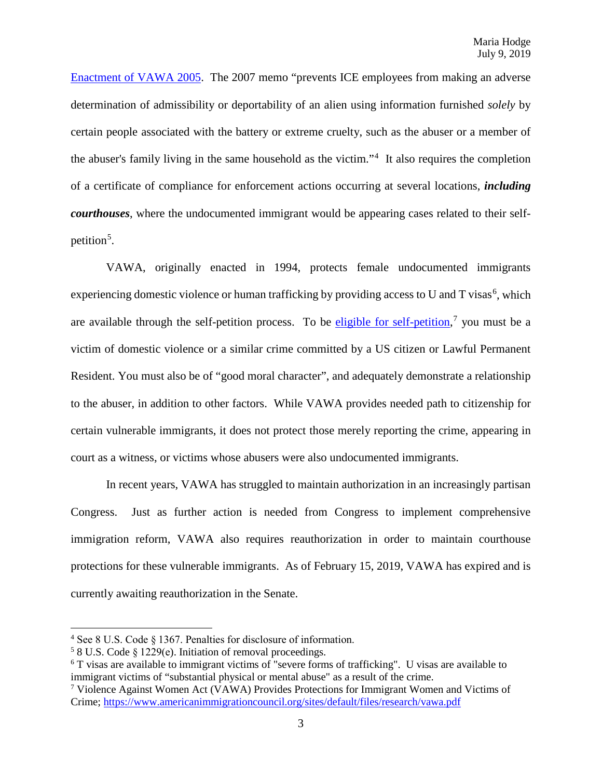[Enactment of VAWA 2005.](https://www.ice.gov/doclib/foia/prosecutorial-discretion/vawa2005.pdf) The 2007 memo "prevents ICE employees from making an adverse determination of admissibility or deportability of an alien using information furnished *solely* by certain people associated with the battery or extreme cruelty, such as the abuser or a member of the abuser's family living in the same household as the victim."<sup>[4](#page-2-0)</sup> It also requires the completion of a certificate of compliance for enforcement actions occurring at several locations, *including courthouses*, where the undocumented immigrant would be appearing cases related to their self-petition<sup>[5](#page-2-1)</sup>.

VAWA, originally enacted in 1994, protects female undocumented immigrants experiencing domestic violence or human trafficking by providing access to U and T visas<sup>[6](#page-2-2)</sup>, which are available through the self-petition process. To be *eligible for self-petition*,<sup>[7](#page-2-3)</sup> you must be a victim of domestic violence or a similar crime committed by a US citizen or Lawful Permanent Resident. You must also be of "good moral character", and adequately demonstrate a relationship to the abuser, in addition to other factors. While VAWA provides needed path to citizenship for certain vulnerable immigrants, it does not protect those merely reporting the crime, appearing in court as a witness, or victims whose abusers were also undocumented immigrants.

In recent years, VAWA has struggled to maintain authorization in an increasingly partisan Congress. Just as further action is needed from Congress to implement comprehensive immigration reform, VAWA also requires reauthorization in order to maintain courthouse protections for these vulnerable immigrants. As of February 15, 2019, VAWA has expired and is currently awaiting reauthorization in the Senate.

l

<span id="page-2-0"></span><sup>4</sup> See 8 U.S. Code § 1367. Penalties for disclosure of information.

<span id="page-2-1"></span><sup>5</sup> 8 U.S. Code § 1229(e). Initiation of removal proceedings.

<span id="page-2-2"></span><sup>6</sup> T visas are available to immigrant victims of "severe forms of trafficking". U visas are available to immigrant victims of "substantial physical or mental abuse" as a result of the crime.

<span id="page-2-3"></span><sup>7</sup> Violence Against Women Act (VAWA) Provides Protections for Immigrant Women and Victims of Crime;<https://www.americanimmigrationcouncil.org/sites/default/files/research/vawa.pdf>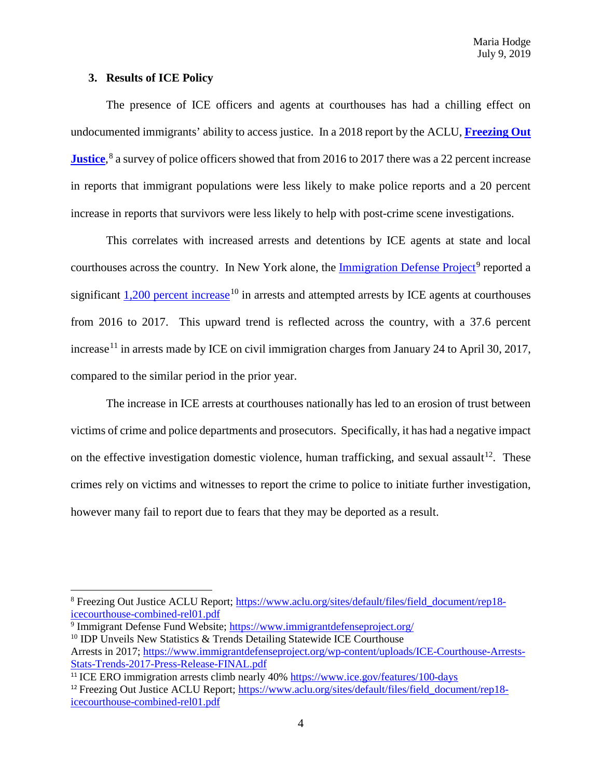### **3. Results of ICE Policy**

l

The presence of ICE officers and agents at courthouses has had a chilling effect on undocumented immigrants' ability to access justice. In a 2018 report by the ACLU, **[Freezing Out](https://www.aclu.org/sites/default/files/field_document/rep18-icecourthouse-combined-rel01.pdf)  [Justice](https://www.aclu.org/sites/default/files/field_document/rep18-icecourthouse-combined-rel01.pdf)**, [8](#page-3-0) a survey of police officers showed that from 2016 to 2017 there was a 22 percent increase in reports that immigrant populations were less likely to make police reports and a 20 percent increase in reports that survivors were less likely to help with post-crime scene investigations.

This correlates with increased arrests and detentions by ICE agents at state and local courthouses across the country. In New York alone, the Immigration [Defense Project](https://www.immigrantdefenseproject.org/)<sup>[9](#page-3-1)</sup> reported a significant  $1,200$  [percent increase](https://www.immigrantdefenseproject.org/wp-content/uploads/ICE-Courthouse-Arrests-Stats-Trends-2017-Press-Release-FINAL.pdf)<sup>[10](#page-3-2)</sup> in arrests and attempted arrests by ICE agents at courthouses from 2016 to 2017. This upward trend is reflected across the country, with a 37.6 percent increase<sup>[11](#page-3-3)</sup> in arrests made by ICE on civil immigration charges from January 24 to April 30, 2017, compared to the similar period in the prior year.

The increase in ICE arrests at courthouses nationally has led to an erosion of trust between victims of crime and police departments and prosecutors. Specifically, it has had a negative impact on the effective investigation domestic violence, human trafficking, and sexual assault<sup>[12](#page-3-4)</sup>. These crimes rely on victims and witnesses to report the crime to police to initiate further investigation, however many fail to report due to fears that they may be deported as a result.

<span id="page-3-1"></span><sup>9</sup> Immigrant Defense Fund Website;<https://www.immigrantdefenseproject.org/> <sup>10</sup> IDP Unveils New Statistics & Trends Detailing Statewide ICE Courthouse

<span id="page-3-0"></span><sup>8</sup> Freezing Out Justice ACLU Report; [https://www.aclu.org/sites/default/files/field\\_document/rep18](https://www.aclu.org/sites/default/files/field_document/rep18-icecourthouse-combined-rel01.pdf) [icecourthouse-combined-rel01.pdf](https://www.aclu.org/sites/default/files/field_document/rep18-icecourthouse-combined-rel01.pdf)

<span id="page-3-2"></span>Arrests in 2017; [https://www.immigrantdefenseproject.org/wp-content/uploads/ICE-Courthouse-Arrests-](https://www.immigrantdefenseproject.org/wp-content/uploads/ICE-Courthouse-Arrests-Stats-Trends-2017-Press-Release-FINAL.pdf)[Stats-Trends-2017-Press-Release-FINAL.pdf](https://www.immigrantdefenseproject.org/wp-content/uploads/ICE-Courthouse-Arrests-Stats-Trends-2017-Press-Release-FINAL.pdf)

<span id="page-3-3"></span><sup>&</sup>lt;sup>11</sup> ICE ERO immigration arrests climb nearly 40% <https://www.ice.gov/features/100-days>

<span id="page-3-4"></span><sup>&</sup>lt;sup>12</sup> Freezing Out Justice ACLU Report; [https://www.aclu.org/sites/default/files/field\\_document/rep18](https://www.aclu.org/sites/default/files/field_document/rep18-icecourthouse-combined-rel01.pdf) [icecourthouse-combined-rel01.pdf](https://www.aclu.org/sites/default/files/field_document/rep18-icecourthouse-combined-rel01.pdf)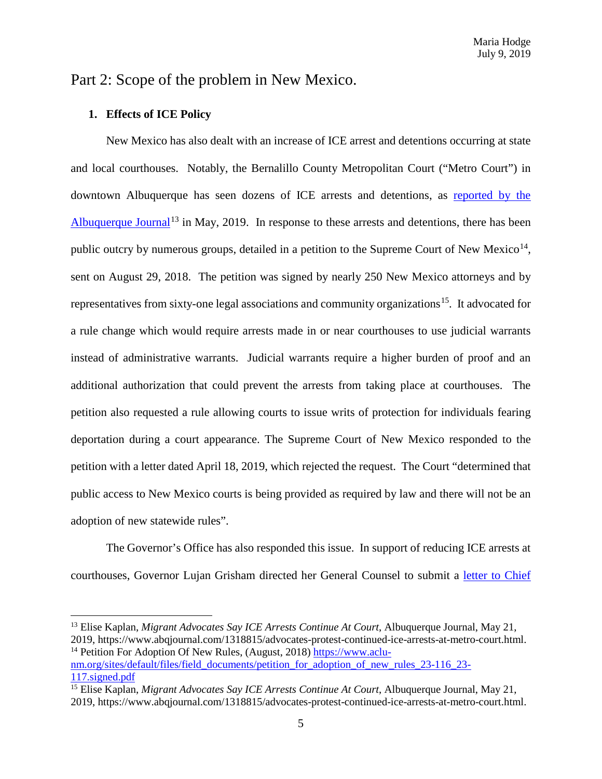# Part 2: Scope of the problem in New Mexico.

## **1. Effects of ICE Policy**

l

New Mexico has also dealt with an increase of ICE arrest and detentions occurring at state and local courthouses. Notably, the Bernalillo County Metropolitan Court ("Metro Court") in downtown Albuquerque has seen dozens of ICE arrests and detentions, as [reported by the](https://www.abqjournal.com/1318815/advocates-protest-continued-ice-arrests-at-metro-court.html)  [Albuquerque Journal](https://www.abqjournal.com/1318815/advocates-protest-continued-ice-arrests-at-metro-court.html)<sup>[13](#page-4-0)</sup> in May, 2019. In response to these arrests and detentions, there has been public outcry by numerous groups, detailed in a petition to the Supreme Court of New Mexico<sup>[14](#page-4-1)</sup>, sent on August 29, 2018. The petition was signed by nearly 250 New Mexico attorneys and by representatives from sixty-one legal associations and community organizations<sup>15</sup>. It advocated for a rule change which would require arrests made in or near courthouses to use judicial warrants instead of administrative warrants. Judicial warrants require a higher burden of proof and an additional authorization that could prevent the arrests from taking place at courthouses. The petition also requested a rule allowing courts to issue writs of protection for individuals fearing deportation during a court appearance. The Supreme Court of New Mexico responded to the petition with a letter dated April 18, 2019, which rejected the request. The Court "determined that public access to New Mexico courts is being provided as required by law and there will not be an adoption of new statewide rules".

The Governor's Office has also responded this issue. In support of reducing ICE arrests at courthouses, Governor Lujan Grisham directed her General Counsel to submit a [letter to Chief](https://www.kob.com/kobtvimages/repository/cs/files/Gov_Engel_Letter.pdf) 

<span id="page-4-0"></span><sup>13</sup> Elise Kaplan, *Migrant Advocates Say ICE Arrests Continue At Court*, Albuquerque Journal, May 21, 2019, https://www.abqjournal.com/1318815/advocates-protest-continued-ice-arrests-at-metro-court.html.<br><sup>14</sup> Petition For Adoption Of New Rules, (August, 2018) https://www.aclu-

<span id="page-4-1"></span>[nm.org/sites/default/files/field\\_documents/petition\\_for\\_adoption\\_of\\_new\\_rules\\_23-116\\_23-](https://www.aclu-nm.org/sites/default/files/field_documents/petition_for_adoption_of_new_rules_23-116_23-117.signed.pdf) [117.signed.pdf](https://www.aclu-nm.org/sites/default/files/field_documents/petition_for_adoption_of_new_rules_23-116_23-117.signed.pdf)

<span id="page-4-2"></span><sup>15</sup> Elise Kaplan, *Migrant Advocates Say ICE Arrests Continue At Court*, Albuquerque Journal, May 21, 2019, https://www.abqjournal.com/1318815/advocates-protest-continued-ice-arrests-at-metro-court.html.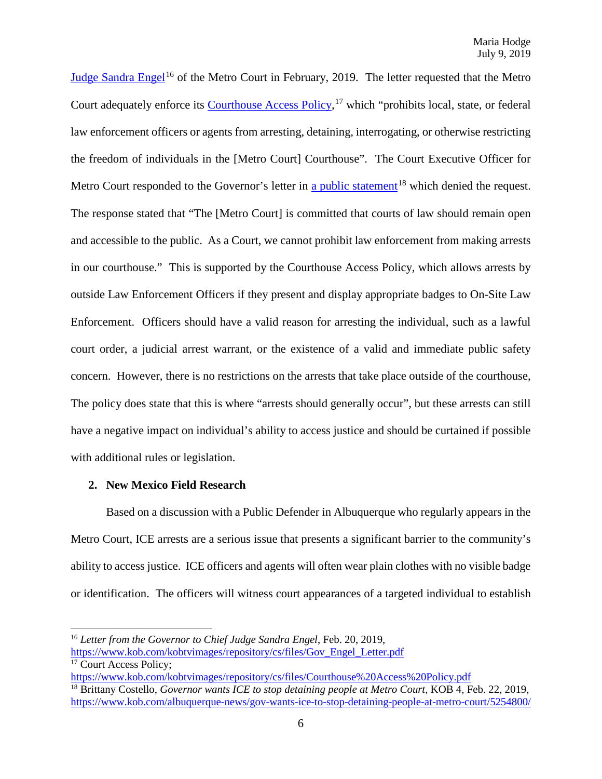[Judge Sandra Engel](https://www.kob.com/kobtvimages/repository/cs/files/Gov_Engel_Letter.pdf)<sup>[16](#page-5-0)</sup> of the Metro Court in February, 2019. The letter requested that the Metro Court adequately enforce its [Courthouse Access Policy,](https://www.kob.com/kobtvimages/repository/cs/files/Courthouse%20Access%20Policy.pdf)<sup>[17](#page-5-1)</sup> which "prohibits local, state, or federal law enforcement officers or agents from arresting, detaining, interrogating, or otherwise restricting the freedom of individuals in the [Metro Court] Courthouse". The Court Executive Officer for Metro Court responded to the Governor's letter in [a public statement](https://www.kob.com/albuquerque-news/gov-wants-ice-to-stop-detaining-people-at-metro-court/5254800/)<sup>[18](#page-5-2)</sup> which denied the request. The response stated that "The [Metro Court] is committed that courts of law should remain open and accessible to the public. As a Court, we cannot prohibit law enforcement from making arrests in our courthouse." This is supported by the Courthouse Access Policy, which allows arrests by outside Law Enforcement Officers if they present and display appropriate badges to On-Site Law Enforcement. Officers should have a valid reason for arresting the individual, such as a lawful court order, a judicial arrest warrant, or the existence of a valid and immediate public safety concern. However, there is no restrictions on the arrests that take place outside of the courthouse, The policy does state that this is where "arrests should generally occur", but these arrests can still have a negative impact on individual's ability to access justice and should be curtained if possible with additional rules or legislation.

#### **2. New Mexico Field Research**

l

Based on a discussion with a Public Defender in Albuquerque who regularly appears in the Metro Court, ICE arrests are a serious issue that presents a significant barrier to the community's ability to access justice. ICE officers and agents will often wear plain clothes with no visible badge or identification. The officers will witness court appearances of a targeted individual to establish

<span id="page-5-0"></span><sup>16</sup> *Letter from the Governor to Chief Judge Sandra Engel*, Feb. 20, 2019,

<span id="page-5-1"></span>[https://www.kob.com/kobtvimages/repository/cs/files/Gov\\_Engel\\_Letter.pdf](https://www.kob.com/kobtvimages/repository/cs/files/Gov_Engel_Letter.pdf)  $\overline{17}$  Court Access Policy;

<span id="page-5-2"></span><https://www.kob.com/kobtvimages/repository/cs/files/Courthouse%20Access%20Policy.pdf> <sup>18</sup> Brittany Costello, *Governor wants ICE to stop detaining people at Metro Court*, KOB 4, Feb. 22, 2019, <https://www.kob.com/albuquerque-news/gov-wants-ice-to-stop-detaining-people-at-metro-court/5254800/>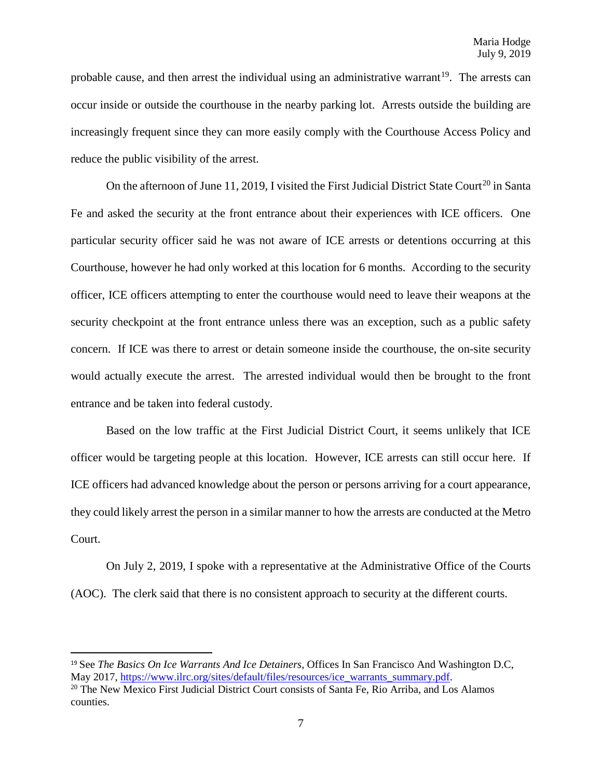probable cause, and then arrest the individual using an administrative warrant<sup>[19](#page-6-0)</sup>. The arrests can occur inside or outside the courthouse in the nearby parking lot. Arrests outside the building are increasingly frequent since they can more easily comply with the Courthouse Access Policy and reduce the public visibility of the arrest.

On the afternoon of June 11, [20](#page-6-1)19, I visited the First Judicial District State Court<sup>20</sup> in Santa Fe and asked the security at the front entrance about their experiences with ICE officers. One particular security officer said he was not aware of ICE arrests or detentions occurring at this Courthouse, however he had only worked at this location for 6 months. According to the security officer, ICE officers attempting to enter the courthouse would need to leave their weapons at the security checkpoint at the front entrance unless there was an exception, such as a public safety concern. If ICE was there to arrest or detain someone inside the courthouse, the on-site security would actually execute the arrest. The arrested individual would then be brought to the front entrance and be taken into federal custody.

Based on the low traffic at the First Judicial District Court, it seems unlikely that ICE officer would be targeting people at this location. However, ICE arrests can still occur here. If ICE officers had advanced knowledge about the person or persons arriving for a court appearance, they could likely arrest the person in a similar manner to how the arrests are conducted at the Metro Court.

On July 2, 2019, I spoke with a representative at the Administrative Office of the Courts (AOC). The clerk said that there is no consistent approach to security at the different courts.

<span id="page-6-0"></span><sup>&</sup>lt;sup>19</sup> See *The Basics On Ice Warrants And Ice Detainers*, Offices In San Francisco And Washington D.C, May 2017, https://www.ilrc.org/sites/default/files/resources/ice\_warrants\_summary.pdf.

<span id="page-6-1"></span><sup>&</sup>lt;sup>20</sup> The New Mexico First Judicial District Court consists of Santa Fe, Rio Arriba, and Los Alamos counties.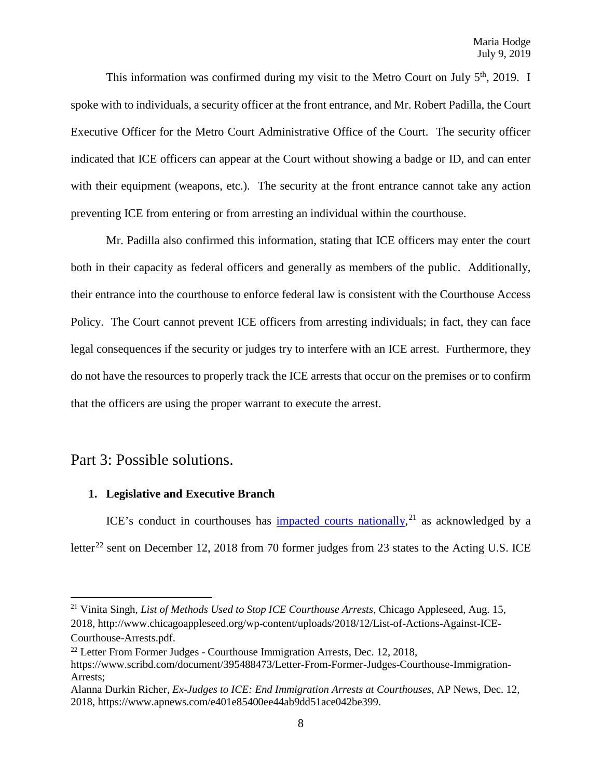This information was confirmed during my visit to the Metro Court on July  $5<sup>th</sup>$ , 2019. I spoke with to individuals, a security officer at the front entrance, and Mr. Robert Padilla, the Court Executive Officer for the Metro Court Administrative Office of the Court. The security officer indicated that ICE officers can appear at the Court without showing a badge or ID, and can enter with their equipment (weapons, etc.). The security at the front entrance cannot take any action preventing ICE from entering or from arresting an individual within the courthouse.

Mr. Padilla also confirmed this information, stating that ICE officers may enter the court both in their capacity as federal officers and generally as members of the public. Additionally, their entrance into the courthouse to enforce federal law is consistent with the Courthouse Access Policy. The Court cannot prevent ICE officers from arresting individuals; in fact, they can face legal consequences if the security or judges try to interfere with an ICE arrest. Furthermore, they do not have the resources to properly track the ICE arrests that occur on the premises or to confirm that the officers are using the proper warrant to execute the arrest.

## Part 3: Possible solutions.

l

## **1. Legislative and Executive Branch**

ICE's conduct in courthouses has impacted [courts nationally,](http://www.chicagoappleseed.org/wp-content/uploads/2018/12/List-of-Actions-Against-ICE-Courthouse-Arrests.pdf)<sup>[21](#page-7-0)</sup> as acknowledged by a letter<sup>[22](#page-7-1)</sup> sent on December 12, 2018 from 70 former judges from 23 states to the Acting U.S. ICE

<span id="page-7-0"></span><sup>21</sup> Vinita Singh, *List of Methods Used to Stop ICE Courthouse Arrests*, Chicago Appleseed, Aug. 15, 2018, http://www.chicagoappleseed.org/wp-content/uploads/2018/12/List-of-Actions-Against-ICE-Courthouse-Arrests.pdf. 22 Letter From Former Judges - Courthouse Immigration Arrests, Dec. 12, 2018,

<span id="page-7-1"></span>

https://www.scribd.com/document/395488473/Letter-From-Former-Judges-Courthouse-Immigration-Arrests;

Alanna Durkin Richer, *Ex-Judges to ICE: End Immigration Arrests at Courthouses*, AP News, Dec. 12, 2018, https://www.apnews.com/e401e85400ee44ab9dd51ace042be399.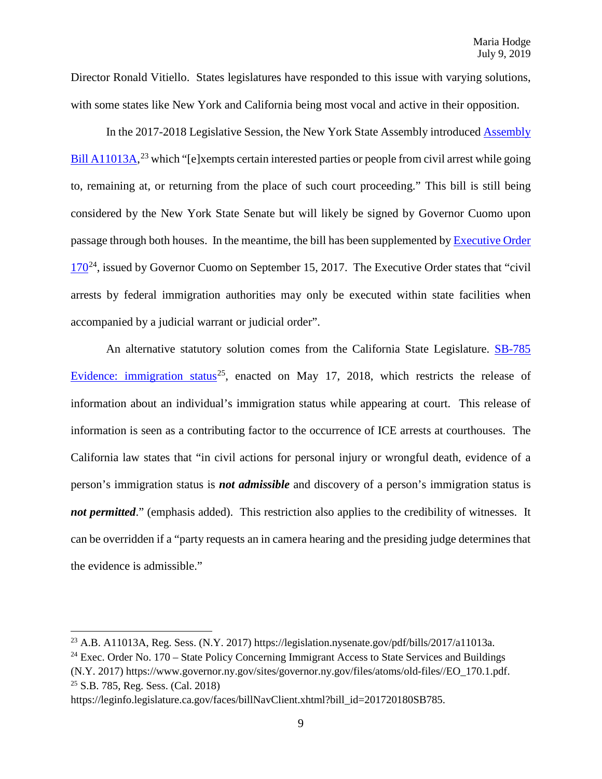Director Ronald Vitiello. States legislatures have responded to this issue with varying solutions, with some states like New York and California being most vocal and active in their opposition.

In the 2017-2018 Legislative Session, the New York State Assembly introduced [Assembly](https://legislation.nysenate.gov/pdf/bills/2017/a11013a)  [Bill A11013A,](https://legislation.nysenate.gov/pdf/bills/2017/a11013a)<sup>[23](#page-8-0)</sup> which "[e]xempts certain interested parties or people from civil arrest while going to, remaining at, or returning from the place of such court proceeding." This bill is still being considered by the New York State Senate but will likely be signed by Governor Cuomo upon passage through both houses. In the meantime, the bill has been supplemented b[y Executive Order](https://www.governor.ny.gov/sites/governor.ny.gov/files/atoms/old-files/EO_170.1.pdf)  $170^{24}$  $170^{24}$ , issued by Governor Cuomo on September 15, 2017. The Executive Order states that "civil" arrests by federal immigration authorities may only be executed within state facilities when accompanied by a judicial warrant or judicial order".

An alternative statutory solution comes from the California State Legislature. [SB-785](https://leginfo.legislature.ca.gov/faces/billNavClient.xhtml?bill_id=201720180SB785)  [Evidence: immigration status](https://leginfo.legislature.ca.gov/faces/billNavClient.xhtml?bill_id=201720180SB785)<sup>[25](#page-8-2)</sup>, enacted on May 17, 2018, which restricts the release of information about an individual's immigration status while appearing at court. This release of information is seen as a contributing factor to the occurrence of ICE arrests at courthouses. The California law states that "in civil actions for personal injury or wrongful death, evidence of a person's immigration status is *not admissible* and discovery of a person's immigration status is *not permitted.*" (emphasis added). This restriction also applies to the credibility of witnesses. It can be overridden if a "party requests an in camera hearing and the presiding judge determines that the evidence is admissible."

 $\overline{\phantom{a}}$ 

<span id="page-8-0"></span><sup>&</sup>lt;sup>23</sup> A.B. A11013A, Reg. Sess. (N.Y. 2017) https://legislation.nysenate.gov/pdf/bills/2017/a11013a.<br><sup>24</sup> Exec. Order No. 170 – State Policy Concerning Immigrant Access to State Services and Buildings

<span id="page-8-1"></span><sup>(</sup>N.Y. 2017) https://www.governor.ny.gov/sites/governor.ny.gov/files/atoms/old-files//EO\_170.1.pdf. 25 S.B. 785, Reg. Sess. (Cal. 2018)

<span id="page-8-2"></span>https://leginfo.legislature.ca.gov/faces/billNavClient.xhtml?bill\_id=201720180SB785.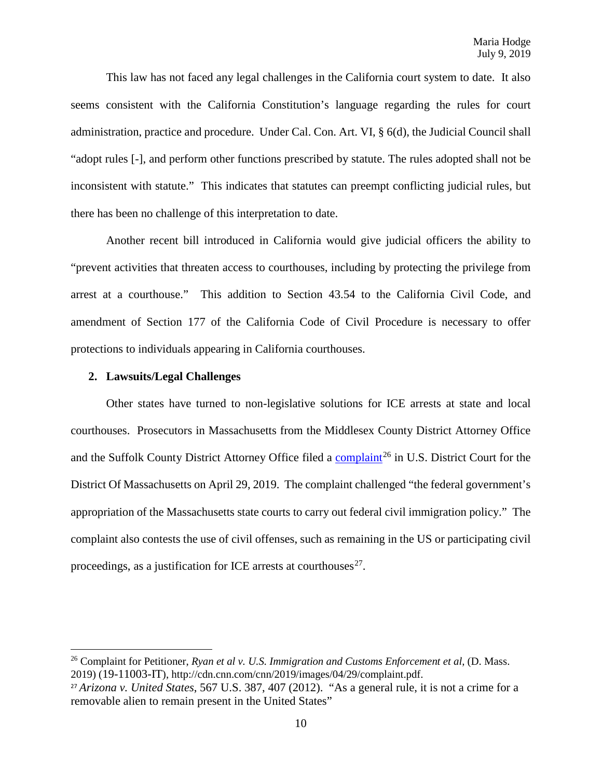This law has not faced any legal challenges in the California court system to date. It also seems consistent with the California Constitution's language regarding the rules for court administration, practice and procedure. Under Cal. Con. Art. VI, § 6(d), the Judicial Council shall "adopt rules [-], and perform other functions prescribed by statute. The rules adopted shall not be inconsistent with statute." This indicates that statutes can preempt conflicting judicial rules, but there has been no challenge of this interpretation to date.

Another recent bill introduced in California would give judicial officers the ability to "prevent activities that threaten access to courthouses, including by protecting the privilege from arrest at a courthouse." This addition to Section 43.54 to the California Civil Code, and amendment of Section 177 of the California Code of Civil Procedure is necessary to offer protections to individuals appearing in California courthouses.

#### **2. Lawsuits/Legal Challenges**

l

Other states have turned to non-legislative solutions for ICE arrests at state and local courthouses. Prosecutors in Massachusetts from the Middlesex County District Attorney Office and the Suffolk County District Attorney Office filed a [complaint](http://cdn.cnn.com/cnn/2019/images/04/29/complaint.pdf)<sup>[26](#page-9-0)</sup> in U.S. District Court for the District Of Massachusetts on April 29, 2019. The complaint challenged "the federal government's appropriation of the Massachusetts state courts to carry out federal civil immigration policy." The complaint also contests the use of civil offenses, such as remaining in the US or participating civil proceedings, as a justification for ICE arrests at courthouses $^{27}$  $^{27}$  $^{27}$ .

<span id="page-9-0"></span><sup>26</sup> Complaint for Petitioner, *Ryan et al v. U.S. Immigration and Customs Enforcement et al*, (D. Mass. 2019) (19-11003-IT), http://cdn.cnn.com/cnn/2019/images/04/29/complaint.pdf.

<span id="page-9-1"></span><sup>27</sup> *Arizona v. United States*, 567 U.S. 387, 407 (2012). "As a general rule, it is not a crime for a removable alien to remain present in the United States"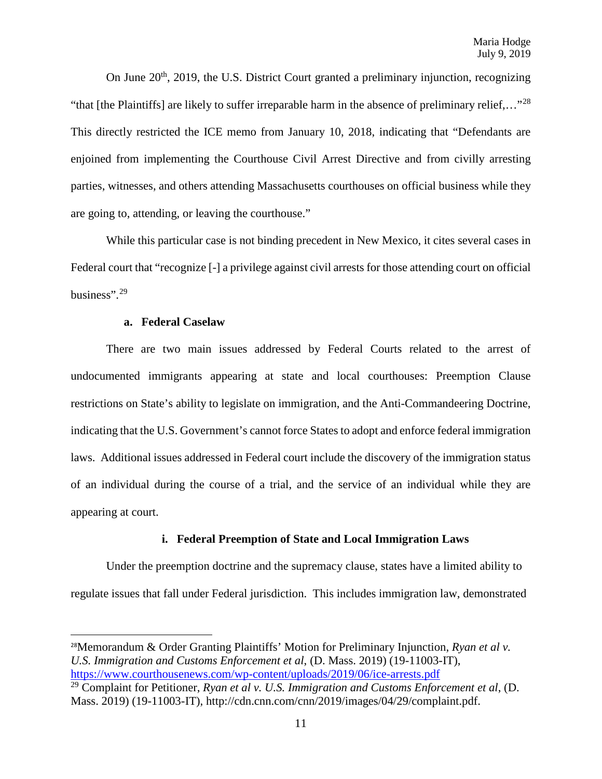On June  $20<sup>th</sup>$ , 2019, the U.S. District Court granted a preliminary injunction, recognizing "that [the Plaintiffs] are likely to suffer irreparable harm in the absence of preliminary relief...."<sup>[28](#page-10-0)</sup> This directly restricted the ICE memo from January 10, 2018, indicating that "Defendants are enjoined from implementing the Courthouse Civil Arrest Directive and from civilly arresting parties, witnesses, and others attending Massachusetts courthouses on official business while they are going to, attending, or leaving the courthouse."

While this particular case is not binding precedent in New Mexico, it cites several cases in Federal court that "recognize [-] a privilege against civil arrests for those attending court on official business".[29](#page-10-1)

#### **a. Federal Caselaw**

There are two main issues addressed by Federal Courts related to the arrest of undocumented immigrants appearing at state and local courthouses: Preemption Clause restrictions on State's ability to legislate on immigration, and the Anti-Commandeering Doctrine, indicating that the U.S. Government's cannot force States to adopt and enforce federal immigration laws. Additional issues addressed in Federal court include the discovery of the immigration status of an individual during the course of a trial, and the service of an individual while they are appearing at court.

#### **i. Federal Preemption of State and Local Immigration Laws**

Under the preemption doctrine and the supremacy clause, states have a limited ability to regulate issues that fall under Federal jurisdiction. This includes immigration law, demonstrated

<span id="page-10-0"></span> <sup>28</sup>Memorandum & Order Granting Plaintiffs' Motion for Preliminary Injunction, *Ryan et al v. U.S. Immigration and Customs Enforcement et al*, (D. Mass. 2019) (19-11003-IT), <https://www.courthousenews.com/wp-content/uploads/2019/06/ice-arrests.pdf>

<span id="page-10-1"></span><sup>29</sup> Complaint for Petitioner, *Ryan et al v. U.S. Immigration and Customs Enforcement et al*, (D. Mass. 2019) (19-11003-IT), http://cdn.cnn.com/cnn/2019/images/04/29/complaint.pdf.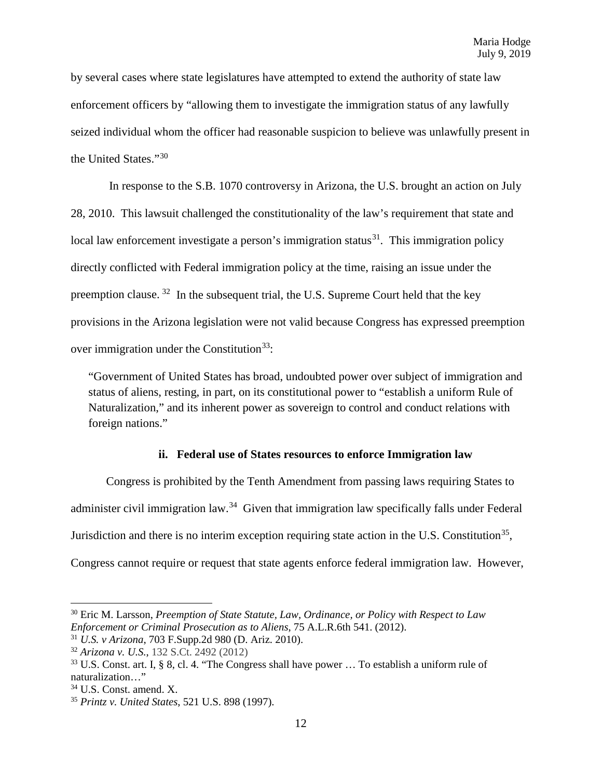by several cases where state legislatures have attempted to extend the authority of state law enforcement officers by "allowing them to investigate the immigration status of any lawfully seized individual whom the officer had reasonable suspicion to believe was unlawfully present in the United States."[30](#page-11-0)

In response to the S.B. 1070 controversy in Arizona, the U.S. brought an action on July 28, 2010. This lawsuit challenged the constitutionality of the law's requirement that state and local law enforcement investigate a person's immigration status<sup>31</sup>. This immigration policy directly conflicted with Federal immigration policy at the time, raising an issue under the preemption clause.  $32$  In the subsequent trial, the U.S. Supreme Court held that the key provisions in the Arizona legislation were not valid because Congress has expressed preemption over immigration under the Constitution<sup>33</sup>:

"Government of United States has broad, undoubted power over subject of immigration and status of aliens, resting, in part, on its constitutional power to "establish a uniform Rule of Naturalization," and its inherent power as sovereign to control and conduct relations with foreign nations."

## **ii. Federal use of States resources to enforce Immigration law**

Congress is prohibited by the Tenth Amendment from passing laws requiring States to administer civil immigration law.[34](#page-11-4) Given that immigration law specifically falls under Federal Jurisdiction and there is no interim exception requiring state action in the U.S. Constitution<sup>[35](#page-11-5)</sup>, Congress cannot require or request that state agents enforce federal immigration law. However,

 $\overline{a}$ 

<span id="page-11-0"></span><sup>30</sup> Eric M. Larsson, *Preemption of State Statute, Law, Ordinance, or Policy with Respect to Law Enforcement or Criminal Prosecution as to Aliens*, 75 A.L.R.6th 541. (2012).

<span id="page-11-1"></span><sup>31</sup> *U.S. v Arizona*, 703 F.Supp.2d 980 (D. Ariz. 2010).

<span id="page-11-2"></span><sup>32</sup> *Arizona v. U.S.*, 132 S.Ct. 2492 (2012)

<span id="page-11-3"></span> $33$  U.S. Const. art. I, § 8, cl. 4. "The Congress shall have power  $\ldots$  To establish a uniform rule of naturalization…"

<span id="page-11-4"></span><sup>&</sup>lt;sup>34</sup> U.S. Const. amend. X.

<span id="page-11-5"></span><sup>35</sup> *Printz v. United States*, 521 U.S. 898 (1997).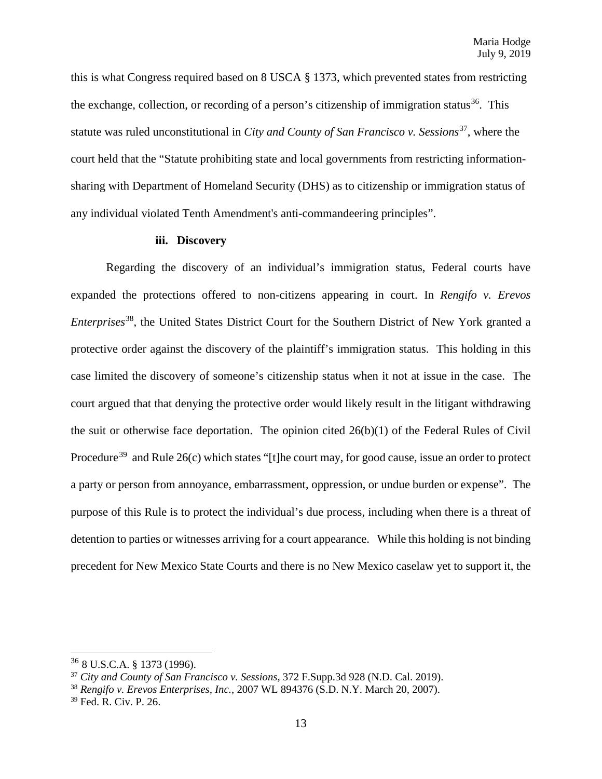this is what Congress required based on 8 USCA § 1373, which prevented states from restricting the exchange, collection, or recording of a person's citizenship of immigration status<sup>36</sup>. This statute was ruled unconstitutional in *City and County of San Francisco v. Sessions*<sup>37</sup>, where the court held that the "Statute prohibiting state and local governments from restricting informationsharing with Department of Homeland Security (DHS) as to citizenship or immigration status of any individual violated Tenth Amendment's anti-commandeering principles".

### **iii. Discovery**

Regarding the discovery of an individual's immigration status, Federal courts have expanded the protections offered to non-citizens appearing in court. In *Rengifo v. Erevos Enterprises*[38,](#page-12-2) the United States District Court for the Southern District of New York granted a protective order against the discovery of the plaintiff's immigration status. This holding in this case limited the discovery of someone's citizenship status when it not at issue in the case. The court argued that that denying the protective order would likely result in the litigant withdrawing the suit or otherwise face deportation. The opinion cited  $26(b)(1)$  of the Federal Rules of Civil Procedure<sup>[39](#page-12-3)</sup> and Rule  $26(c)$  which states "[t]he court may, for good cause, issue an order to protect a party or person from annoyance, embarrassment, oppression, or undue burden or expense". The purpose of this Rule is to protect the individual's due process, including when there is a threat of detention to parties or witnesses arriving for a court appearance. While this holding is not binding precedent for New Mexico State Courts and there is no New Mexico caselaw yet to support it, the

 $\overline{\phantom{a}}$ 

<span id="page-12-0"></span> $36$  8 U.S.C.A. § 1373 (1996).

<span id="page-12-1"></span><sup>37</sup> *City and County of San Francisco v. Sessions*, 372 F.Supp.3d 928 (N.D. Cal. 2019).

<span id="page-12-2"></span><sup>38</sup> *Rengifo v. Erevos Enterprises, Inc.*, 2007 WL 894376 (S.D. N.Y. March 20, 2007).

<span id="page-12-3"></span><sup>39</sup> Fed. R. Civ. P. 26.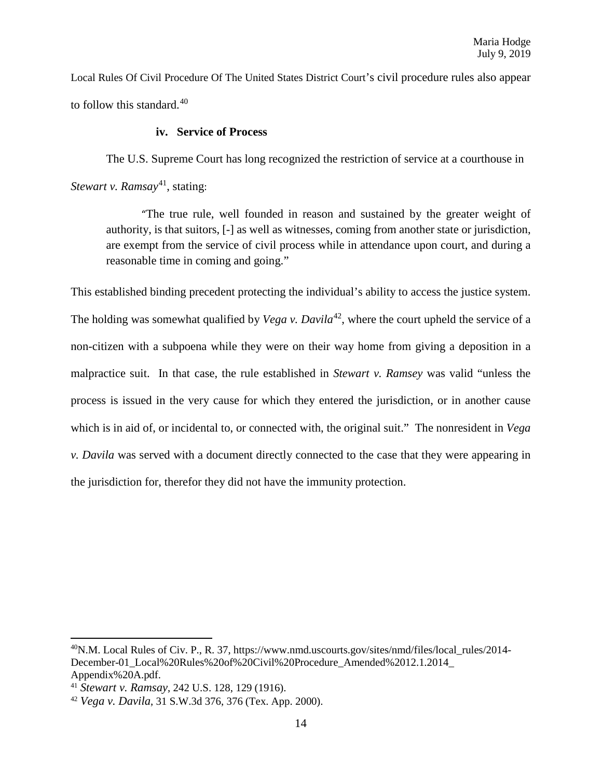Local Rules Of Civil Procedure Of The United States District Court's civil procedure rules also appear to follow this standard.[40](#page-13-0)

## **iv. Service of Process**

The U.S. Supreme Court has long recognized the restriction of service at a courthouse in *Stewart v. Ramsay*<sup>41</sup>, stating:

"The true rule, well founded in reason and sustained by the greater weight of authority, is that suitors, [-] as well as witnesses, coming from another state or jurisdiction, are exempt from the service of civil process while in attendance upon court, and during a reasonable time in coming and going."

This established binding precedent protecting the individual's ability to access the justice system. The holding was somewhat qualified by *Vega v. Davila*<sup>42</sup>, where the court upheld the service of a non-citizen with a subpoena while they were on their way home from giving a deposition in a malpractice suit. In that case, the rule established in *Stewart v. Ramsey* was valid "unless the process is issued in the very cause for which they entered the jurisdiction, or in another cause which is in aid of, or incidental to, or connected with, the original suit." The nonresident in *Vega v. Davila* was served with a document directly connected to the case that they were appearing in the jurisdiction for, therefor they did not have the immunity protection.

 $\overline{a}$ 

<span id="page-13-0"></span><sup>&</sup>lt;sup>40</sup>N.M. Local Rules of Civ. P., R. 37, https://www.nmd.uscourts.gov/sites/nmd/files/local\_rules/2014-December-01\_Local%20Rules%20of%20Civil%20Procedure\_Amended%2012.1.2014\_ Appendix%20A.pdf. 41 *Stewart v. Ramsay*, 242 U.S. 128, 129 (1916).

<span id="page-13-1"></span>

<span id="page-13-2"></span><sup>42</sup> *Vega v. Davila*, 31 S.W.3d 376, 376 (Tex. App. 2000).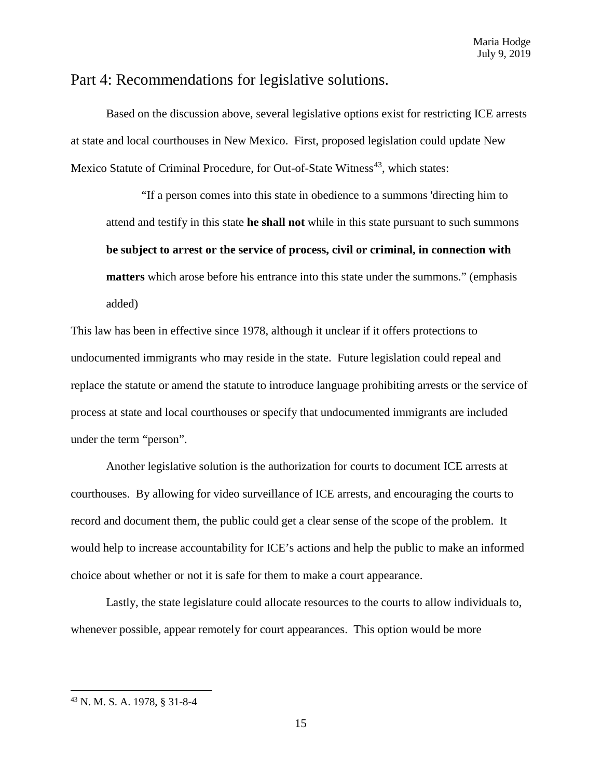# Part 4: Recommendations for legislative solutions.

Based on the discussion above, several legislative options exist for restricting ICE arrests at state and local courthouses in New Mexico. First, proposed legislation could update New Mexico Statute of Criminal Procedure, for Out-of-State Witness<sup>43</sup>, which states:

"If a person comes into this state in obedience to a summons 'directing him to attend and testify in this state **he shall not** while in this state pursuant to such summons **be subject to arrest or the service of process, civil or criminal, in connection with matters** which arose before his entrance into this state under the summons." (emphasis added)

This law has been in effective since 1978, although it unclear if it offers protections to undocumented immigrants who may reside in the state. Future legislation could repeal and replace the statute or amend the statute to introduce language prohibiting arrests or the service of process at state and local courthouses or specify that undocumented immigrants are included under the term "person".

Another legislative solution is the authorization for courts to document ICE arrests at courthouses. By allowing for video surveillance of ICE arrests, and encouraging the courts to record and document them, the public could get a clear sense of the scope of the problem. It would help to increase accountability for ICE's actions and help the public to make an informed choice about whether or not it is safe for them to make a court appearance.

Lastly, the state legislature could allocate resources to the courts to allow individuals to, whenever possible, appear remotely for court appearances. This option would be more

 $\overline{a}$ 

<span id="page-14-0"></span><sup>43</sup> N. M. S. A. 1978, § 31-8-4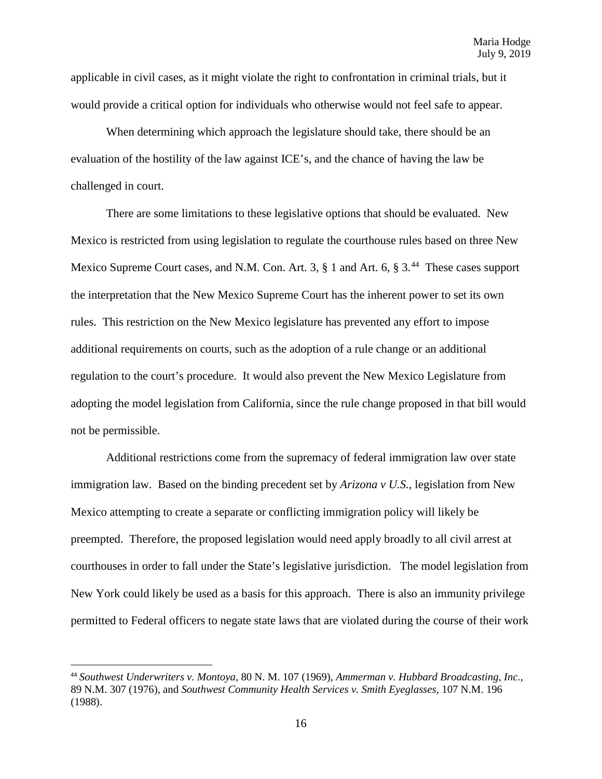applicable in civil cases, as it might violate the right to confrontation in criminal trials, but it would provide a critical option for individuals who otherwise would not feel safe to appear.

When determining which approach the legislature should take, there should be an evaluation of the hostility of the law against ICE's, and the chance of having the law be challenged in court.

There are some limitations to these legislative options that should be evaluated. New Mexico is restricted from using legislation to regulate the courthouse rules based on three New Mexico Supreme Court cases, and N.M. Con. Art. 3, § 1 and Art. 6, § 3.<sup>44</sup> These cases support the interpretation that the New Mexico Supreme Court has the inherent power to set its own rules. This restriction on the New Mexico legislature has prevented any effort to impose additional requirements on courts, such as the adoption of a rule change or an additional regulation to the court's procedure. It would also prevent the New Mexico Legislature from adopting the model legislation from California, since the rule change proposed in that bill would not be permissible.

Additional restrictions come from the supremacy of federal immigration law over state immigration law. Based on the binding precedent set by *Arizona v U.S.*, legislation from New Mexico attempting to create a separate or conflicting immigration policy will likely be preempted. Therefore, the proposed legislation would need apply broadly to all civil arrest at courthouses in order to fall under the State's legislative jurisdiction. The model legislation from New York could likely be used as a basis for this approach. There is also an immunity privilege permitted to Federal officers to negate state laws that are violated during the course of their work

<span id="page-15-0"></span> <sup>44</sup> *Southwest Underwriters v. Montoya*, 80 N. M. 107 (1969), *Ammerman v. Hubbard Broadcasting, Inc.*, 89 N.M. 307 (1976), and *Southwest Community Health Services v. Smith Eyeglasses*, 107 N.M. 196 (1988).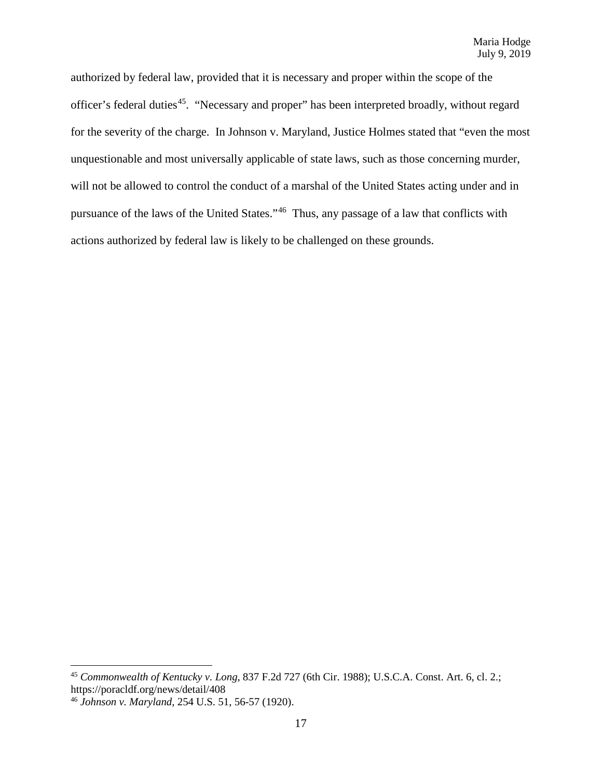authorized by federal law, provided that it is necessary and proper within the scope of the officer's federal duties<sup>[45](#page-16-0)</sup>. "Necessary and proper" has been interpreted broadly, without regard for the severity of the charge. In Johnson v. Maryland, Justice Holmes stated that "even the most unquestionable and most universally applicable of state laws, such as those concerning murder, will not be allowed to control the conduct of a marshal of the United States acting under and in pursuance of the laws of the United States."[46](#page-16-1) Thus, any passage of a law that conflicts with actions authorized by federal law is likely to be challenged on these grounds.

l

<span id="page-16-0"></span><sup>45</sup> *Commonwealth of Kentucky v. Long*, 837 F.2d 727 (6th Cir. 1988); U.S.C.A. Const. Art. 6, cl. 2.; https://poracldf.org/news/detail/408

<span id="page-16-1"></span><sup>46</sup> *Johnson v. Maryland*, 254 U.S. 51, 56-57 (1920).